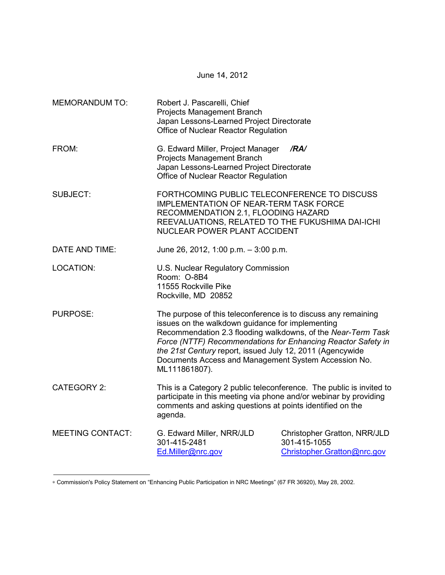| <b>MEMORANDUM TO:</b>   | Robert J. Pascarelli, Chief<br>Projects Management Branch<br>Japan Lessons-Learned Project Directorate<br>Office of Nuclear Reactor Regulation                                                                                                                                                                                                                                           |                                                                             |  |
|-------------------------|------------------------------------------------------------------------------------------------------------------------------------------------------------------------------------------------------------------------------------------------------------------------------------------------------------------------------------------------------------------------------------------|-----------------------------------------------------------------------------|--|
| FROM:                   | G. Edward Miller, Project Manager<br>Projects Management Branch<br>Japan Lessons-Learned Project Directorate<br>Office of Nuclear Reactor Regulation                                                                                                                                                                                                                                     | /RA/                                                                        |  |
| <b>SUBJECT:</b>         | FORTHCOMING PUBLIC TELECONFERENCE TO DISCUSS<br><b>IMPLEMENTATION OF NEAR-TERM TASK FORCE</b><br>RECOMMENDATION 2.1, FLOODING HAZARD<br>REEVALUATIONS, RELATED TO THE FUKUSHIMA DAI-ICHI<br>NUCLEAR POWER PLANT ACCIDENT                                                                                                                                                                 |                                                                             |  |
| DATE AND TIME:          | June 26, 2012, 1:00 p.m. - 3:00 p.m.                                                                                                                                                                                                                                                                                                                                                     |                                                                             |  |
| <b>LOCATION:</b>        | U.S. Nuclear Regulatory Commission<br>Room: O-8B4<br>11555 Rockville Pike<br>Rockville, MD 20852                                                                                                                                                                                                                                                                                         |                                                                             |  |
| <b>PURPOSE:</b>         | The purpose of this teleconference is to discuss any remaining<br>issues on the walkdown guidance for implementing<br>Recommendation 2.3 flooding walkdowns, of the Near-Term Task<br>Force (NTTF) Recommendations for Enhancing Reactor Safety in<br>the 21st Century report, issued July 12, 2011 (Agencywide<br>Documents Access and Management System Accession No.<br>ML111861807). |                                                                             |  |
| <b>CATEGORY 2:</b>      | This is a Category 2 public teleconference. The public is invited to<br>participate in this meeting via phone and/or webinar by providing<br>comments and asking questions at points identified on the<br>agenda.                                                                                                                                                                        |                                                                             |  |
| <b>MEETING CONTACT:</b> | G. Edward Miller, NRR/JLD<br>301-415-2481<br>Ed.Miller@nrc.gov                                                                                                                                                                                                                                                                                                                           | Christopher Gratton, NRR/JLD<br>301-415-1055<br>Christopher.Gratton@nrc.gov |  |

June 14, 2012

∗ Commission's Policy Statement on "Enhancing Public Participation in NRC Meetings" (67 FR 36920), May 28, 2002.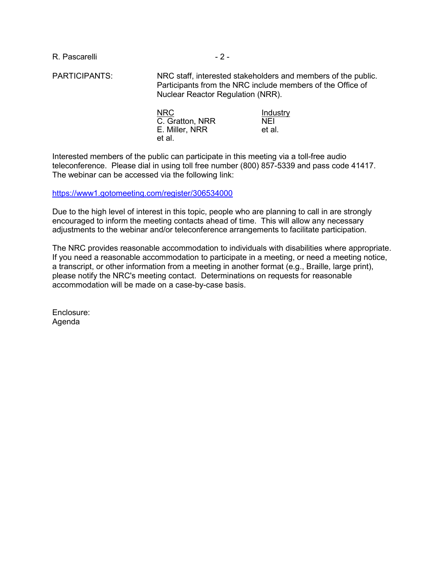R. Pascarelli - 2 -

PARTICIPANTS: NRC staff, interested stakeholders and members of the public. Participants from the NRC include members of the Office of Nuclear Reactor Regulation (NRR).

| <b>NRC</b><br>C. Gratton, NRR | Industry<br><b>NFI</b> |
|-------------------------------|------------------------|
| E. Miller, NRR                | et al.                 |
| et al.                        |                        |

Interested members of the public can participate in this meeting via a toll-free audio teleconference. Please dial in using toll free number (800) 857-5339 and pass code 41417. The webinar can be accessed via the following link:

https://www1.gotomeeting.com/register/306534000

Due to the high level of interest in this topic, people who are planning to call in are strongly encouraged to inform the meeting contacts ahead of time. This will allow any necessary adjustments to the webinar and/or teleconference arrangements to facilitate participation.

The NRC provides reasonable accommodation to individuals with disabilities where appropriate. If you need a reasonable accommodation to participate in a meeting, or need a meeting notice, a transcript, or other information from a meeting in another format (e.g., Braille, large print), please notify the NRC's meeting contact. Determinations on requests for reasonable accommodation will be made on a case-by-case basis.

Enclosure: Agenda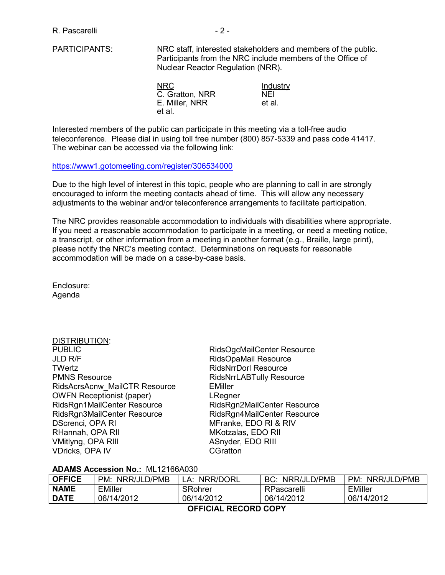PARTICIPANTS: NRC staff, interested stakeholders and members of the public. Participants from the NRC include members of the Office of Nuclear Reactor Regulation (NRR).

| NRC.            | Industry |
|-----------------|----------|
| C. Gratton, NRR | NFI      |
| E. Miller, NRR  | et al.   |
| et al.          |          |

Interested members of the public can participate in this meeting via a toll-free audio teleconference. Please dial in using toll free number (800) 857-5339 and pass code 41417. The webinar can be accessed via the following link:

#### https://www1.gotomeeting.com/register/306534000

Due to the high level of interest in this topic, people who are planning to call in are strongly encouraged to inform the meeting contacts ahead of time. This will allow any necessary adjustments to the webinar and/or teleconference arrangements to facilitate participation.

The NRC provides reasonable accommodation to individuals with disabilities where appropriate. If you need a reasonable accommodation to participate in a meeting, or need a meeting notice, a transcript, or other information from a meeting in another format (e.g., Braille, large print), please notify the NRC's meeting contact. Determinations on requests for reasonable accommodation will be made on a case-by-case basis.

Enclosure: Agenda

| RidsOgcMailCenter Re        |
|-----------------------------|
| RidsOpaMail Resource        |
| <b>RidsNrrDorl Resource</b> |
| <b>RidsNrrLABTully Reso</b> |
| <b>EMiller</b>              |
| LRegner                     |
| RidsRgn2MailCenter R        |
| RidsRgn4MailCenter R        |
| MFranke, EDO RI & RI        |
| MKotzalas, EDO RII          |
| ASnyder, EDO RIII           |
| CGratton                    |
|                             |

enter Resource Resource lly Resource Center Resource Center Resource RI & RIV

# **ADAMS Accession No.:** ML12166A030

| <b>OFFICE</b>        | PM:<br>NRR/JLD/PMB | NRR/DORL<br>_A: | NRR/JLD/PMB<br>BC: | PM:<br>NRR/JLD/PMB |  |
|----------------------|--------------------|-----------------|--------------------|--------------------|--|
| <b>NAME</b>          | <b>EMiller</b>     | <b>SRohrer</b>  | RPascarelli        | EMiller            |  |
| <b>DATE</b>          | 06/14/2012         | 06/14/2012      | 06/14/2012         | 06/14/2012         |  |
| AFFIAIAL BEAARD CABY |                    |                 |                    |                    |  |

 **OFFICIAL RECORD COPY**